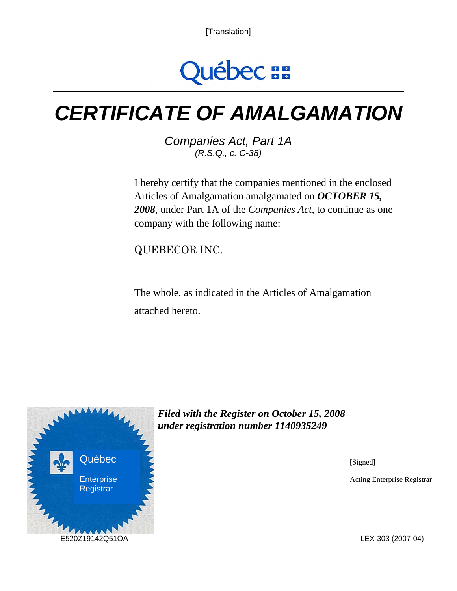[Translation]



# *CERTIFICATE OF AMALGAMATION*

*Companies Act, Part 1A (R.S.Q., c. C-38)* 

I hereby certify that the companies mentioned in the enclosed Articles of Amalgamation amalgamated on *OCTOBER 15, 2008,* under Part 1A of the *Companies Act*, to continue as one company with the following name:

QUEBECOR INC.

The whole, as indicated in the Articles of Amalgamation attached hereto.



*Filed with the Register on October 15, 2008 under registration number 1140935249* 

**[**Signed**]** 

Acting Enterprise Registrar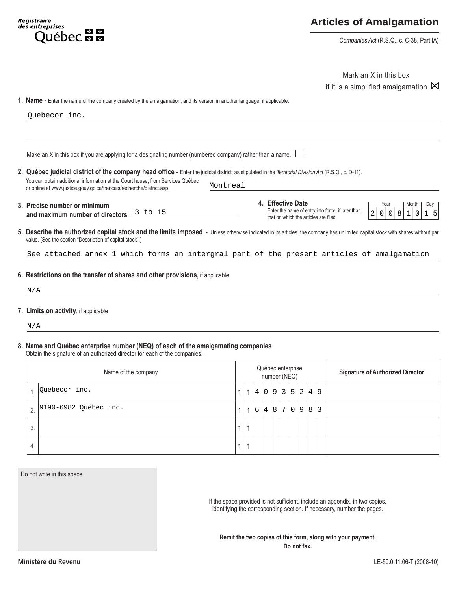## **Articles of Amalgamation**

*Companies Act* (R.S.Q., c. C-38, Part IA)

|                                                                                                                                                                                                                                                                                                                                                                                                                          |              |                                   |     |       |   |                                         |                      | Mark an X in this box<br>if it is a simplified amalgamation $\boxtimes$ |                                       |                                                   |                |         |  |  |                  |  |                                 |
|--------------------------------------------------------------------------------------------------------------------------------------------------------------------------------------------------------------------------------------------------------------------------------------------------------------------------------------------------------------------------------------------------------------------------|--------------|-----------------------------------|-----|-------|---|-----------------------------------------|----------------------|-------------------------------------------------------------------------|---------------------------------------|---------------------------------------------------|----------------|---------|--|--|------------------|--|---------------------------------|
| 1. Name - Enter the name of the company created by the amalgamation, and its version in another language, if applicable.                                                                                                                                                                                                                                                                                                 |              |                                   |     |       |   |                                         |                      |                                                                         |                                       |                                                   |                |         |  |  |                  |  |                                 |
| Quebecor inc.                                                                                                                                                                                                                                                                                                                                                                                                            |              |                                   |     |       |   |                                         |                      |                                                                         |                                       |                                                   |                |         |  |  |                  |  |                                 |
|                                                                                                                                                                                                                                                                                                                                                                                                                          |              |                                   |     |       |   |                                         |                      |                                                                         |                                       |                                                   |                |         |  |  |                  |  |                                 |
| Make an X in this box if you are applying for a designating number (numbered company) rather than a name. $\lfloor$                                                                                                                                                                                                                                                                                                      |              |                                   |     |       |   |                                         |                      |                                                                         |                                       |                                                   |                |         |  |  |                  |  |                                 |
| 2. Québec judicial district of the company head office - Enter the judicial district, as stipulated in the Territorial Division Act (R.S.Q., c. D-11).<br>You can obtain additional information at the Court house, from Services Québec<br>or online at www.justice.gouv.qc.ca/francais/recherche/district.asp.                                                                                                         | Montreal     |                                   |     |       |   |                                         |                      |                                                                         |                                       |                                                   |                |         |  |  |                  |  |                                 |
| 3. Precise number or minimum                                                                                                                                                                                                                                                                                                                                                                                             |              |                                   |     |       |   |                                         | 4. Effective Date    |                                                                         |                                       |                                                   |                | Year    |  |  | Month            |  | Day                             |
| 3 to 15<br>and maximum number of directors                                                                                                                                                                                                                                                                                                                                                                               |              |                                   |     |       |   |                                         |                      |                                                                         | that on which the articles are filed. | Enter the name of entry into force, if later than | $\overline{2}$ | $0$ 0 8 |  |  | 1<br>$\mathsf 0$ |  | $1 \overline{\smash{\big)}\ 5}$ |
| 5. Describe the authorized capital stock and the limits imposed - Unless otherwise indicated in its articles, the company has unlimited capital stock with shares without par<br>value. (See the section "Description of capital stock".)<br>See attached annex 1 which forms an intergral part of the present articles of amalgamation<br>6. Restrictions on the transfer of shares and other provisions, if applicable |              |                                   |     |       |   |                                         |                      |                                                                         |                                       |                                                   |                |         |  |  |                  |  |                                 |
| N/A                                                                                                                                                                                                                                                                                                                                                                                                                      |              |                                   |     |       |   |                                         |                      |                                                                         |                                       |                                                   |                |         |  |  |                  |  |                                 |
| 7. Limits on activity, if applicable<br>N/A                                                                                                                                                                                                                                                                                                                                                                              |              |                                   |     |       |   |                                         |                      |                                                                         |                                       |                                                   |                |         |  |  |                  |  |                                 |
| 8. Name and Québec enterprise number (NEQ) of each of the amalgamating companies<br>Obtain the signature of an authorized director for each of the companies.                                                                                                                                                                                                                                                            |              |                                   |     |       |   |                                         |                      |                                                                         |                                       |                                                   |                |         |  |  |                  |  |                                 |
| Name of the company                                                                                                                                                                                                                                                                                                                                                                                                      |              | Québec enterprise<br>number (NEQ) |     |       |   | <b>Signature of Authorized Director</b> |                      |                                                                         |                                       |                                                   |                |         |  |  |                  |  |                                 |
| Quebecor inc.<br>$\mathbf{1}$ .                                                                                                                                                                                                                                                                                                                                                                                          | 1            | $\mathbf{1}$                      | 4 0 |       | 9 | 3 5                                     |                      | 2                                                                       | $4 \mid 9$                            |                                                   |                |         |  |  |                  |  |                                 |
| 9190-6982 Ouébec inc.<br>2.                                                                                                                                                                                                                                                                                                                                                                                              | $\mathbf{1}$ | $\mathbf{1}$                      |     | 6 4 8 |   | $\overline{7}$                          | $\overline{0}$<br> 9 | 8                                                                       | $\overline{3}$                        |                                                   |                |         |  |  |                  |  |                                 |
| 3.                                                                                                                                                                                                                                                                                                                                                                                                                       | $\mathbf{1}$ | 1                                 |     |       |   |                                         |                      |                                                                         |                                       |                                                   |                |         |  |  |                  |  |                                 |

Registraire<br>des entreprises

**Arreprises**<br>Québec **Es Es** 

## **8. Name and Québec enterprise number (NEQ) of each of the amalgamating companies**

| Name of the company |                                     |  | Québec enterprise<br>number (NEQ) |            |  |  |          |  |  |  |  | <b>Signature of Authorized Director</b> |  |  |  |
|---------------------|-------------------------------------|--|-----------------------------------|------------|--|--|----------|--|--|--|--|-----------------------------------------|--|--|--|
|                     | Quebecor inc.                       |  |                                   | 1140935249 |  |  |          |  |  |  |  |                                         |  |  |  |
|                     | $\frac{1}{2}$ 9190-6982 Québec inc. |  | 1 <sup>1</sup>                    |            |  |  | 64870983 |  |  |  |  |                                         |  |  |  |
| 3.                  |                                     |  |                                   |            |  |  |          |  |  |  |  |                                         |  |  |  |
| 4.                  |                                     |  |                                   |            |  |  |          |  |  |  |  |                                         |  |  |  |

| Do not write in this space |
|----------------------------|
|                            |
|                            |
|                            |
|                            |
|                            |
|                            |

If the space provided is not sufficient, include an appendix, in two copies, identifying the corresponding section. If necessary, number the pages.

**Remit the two copies of this form, along with your payment. Do not fax.**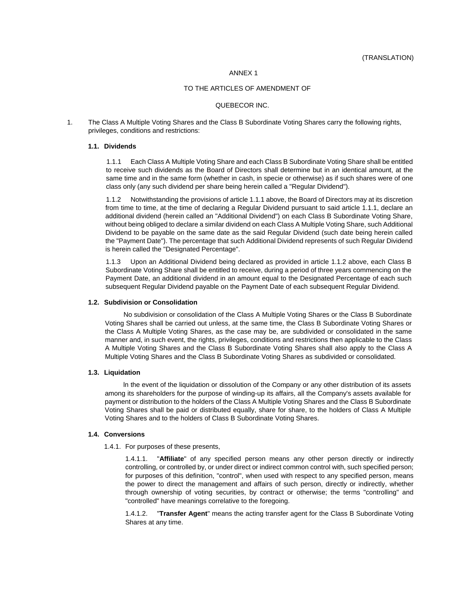### ANNEX 1

## TO THE ARTICLES OF AMENDMENT OF

### QUEBECOR INC.

1. The Class A Multiple Voting Shares and the Class B Subordinate Voting Shares carry the following rights, privileges, conditions and restrictions:

### **1.1. Dividends**

1.1.1 Each Class A Multiple Voting Share and each Class B Subordinate Voting Share shall be entitled to receive such dividends as the Board of Directors shall determine but in an identical amount, at the same time and in the same form (whether in cash, in specie or otherwise) as if such shares were of one class only (any such dividend per share being herein called a "Regular Dividend").

1.1.2 Notwithstanding the provisions of article 1.1.1 above, the Board of Directors may at its discretion from time to time, at the time of declaring a Regular Dividend pursuant to said article 1.1.1, declare an additional dividend (herein called an "Additional Dividend") on each Class B Subordinate Voting Share, without being obliged to declare a similar dividend on each Class A Multiple Voting Share, such Additional Dividend to be payable on the same date as the said Regular Dividend (such date being herein called the "Payment Date"). The percentage that such Additional Dividend represents of such Regular Dividend is herein called the "Designated Percentage".

1.1.3 Upon an Additional Dividend being declared as provided in article 1.1.2 above, each Class B Subordinate Voting Share shall be entitled to receive, during a period of three years commencing on the Payment Date, an additional dividend in an amount equal to the Designated Percentage of each such subsequent Regular Dividend payable on the Payment Date of each subsequent Regular Dividend.

### **1.2. Subdivision or Consolidation**

No subdivision or consolidation of the Class A Multiple Voting Shares or the Class B Subordinate Voting Shares shall be carried out unless, at the same time, the Class B Subordinate Voting Shares or the Class A Multiple Voting Shares, as the case may be, are subdivided or consolidated in the same manner and, in such event, the rights, privileges, conditions and restrictions then applicable to the Class A Multiple Voting Shares and the Class B Subordinate Voting Shares shall also apply to the Class A Multiple Voting Shares and the Class B Subordinate Voting Shares as subdivided or consolidated.

### **1.3. Liquidation**

ln the event of the liquidation or dissolution of the Company or any other distribution of its assets among its shareholders for the purpose of winding-up its affairs, all the Company's assets available for payment or distribution to the holders of the Class A Multiple Voting Shares and the Class B Subordinate Voting Shares shall be paid or distributed equally, share for share, to the holders of Class A Multiple Voting Shares and to the holders of Class B Subordinate Voting Shares.

### **1.4. Conversions**

1.4.1. For purposes of these presents,

1.4.1.1. "**Affiliate**" of any specified person means any other person directly or indirectly controlling, or controlled by, or under direct or indirect common control with, such specified person; for purposes of this definition, "control", when used with respect to any specified person, means the power to direct the management and affairs of such person, directly or indirectly, whether through ownership of voting securities, by contract or otherwise; the terms "controlling" and "controlled" have meanings correlative to the foregoing.

1.4.1.2. "**Transfer Agent**" means the acting transfer agent for the Class B Subordinate Voting Shares at any time.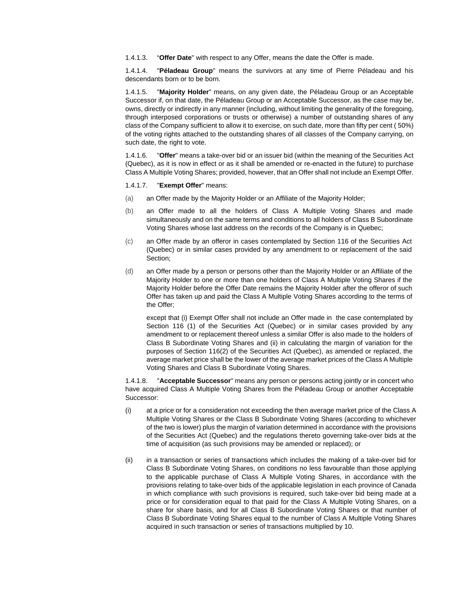1.4.1.3. "**Offer Date**" with respect to any Offer, means the date the Offer is made.

1.4.1.4. "**Péladeau Group**" means the survivors at any time of Pierre Péladeau and his descendants born or to be born.

1.4.1.5. "**Majority Holder**" means, on any given date, the Péladeau Group or an Acceptable Successor if, on that date, the Péladeau Group or an Acceptable Successor, as the case may be, owns, directly or indirectly in any manner (including, without limiting the generality of the foregoing, through interposed corporations or trusts or otherwise) a number of outstanding shares of any class of the Company sufficient to allow it to exercise, on such date, more than fifty per cent ( 50%) of the voting rights attached to the outstanding shares of all classes of the Company carrying, on such date, the right to vote.

1.4.1.6. "**Offer**" means a take-over bid or an issuer bid (within the meaning of the Securities Act (Quebec), as it is now in effect or as it shall be amended or re-enacted in the future) to purchase Class A Multiple Voting Shares; provided, however, that an Offer shall not include an Exempt Offer.

### 1.4.1.7. "**Exempt Offer**" means:

- (a) an Offer made by the Majority Holder or an Affiliate of the Majority Holder;
- (b) an Offer made to all the holders of Class A Multiple Voting Shares and made simultaneously and on the same terms and conditions to all holders of Class B Subordinate Voting Shares whose last address on the records of the Company is in Quebec;
- (c) an Offer made by an offeror in cases contemplated by Section 116 of the Securities Act (Quebec) or in similar cases provided by any amendment to or replacement of the said Section;
- (d) an Offer made by a person or persons other than the Majority Holder or an Affiliate of the Majority Holder to one or more than one holders of Class A Multiple Voting Shares if the Majority Holder before the Offer Date remains the Majority Holder after the offeror of such Offer has taken up and paid the Class A Multiple Voting Shares according to the terms of the Offer;

except that (i) Exempt Offer shall not include an Offer made in the case contemplated by Section 116 (1) of the Securities Act (Quebec) or in similar cases provided by any amendment to or replacement thereof unless a similar Offer is also made to the holders of Class B Subordinate Voting Shares and (ii) in calculating the margin of variation for the purposes of Section 116(2) of the Securities Act (Quebec), as amended or replaced, the average market price shall be the lower of the average market prices of the Class A Multiple Voting Shares and Class B Subordinate Voting Shares.

1.4.1.8. "**Acceptable Successor**" means any person or persons acting jointly or in concert who have acquired Class A Multiple Voting Shares from the Péladeau Group or another Acceptable Successor:

- (i) at a price or for a consideration not exceeding the then average market price of the Class A Multiple Voting Shares or the Class B Subordinate Voting Shares (according to whichever of the two is lower) plus the margin of variation determined in accordance with the provisions of the Securities Act (Quebec) and the regulations thereto governing take-over bids at the time of acquisition (as such provisions may be amended or replaced); or
- (ii) in a transaction or series of transactions which includes the making of a take-over bid for Class B Subordinate Voting Shares, on conditions no less favourable than those applying to the applicable purchase of Class A Multiple Voting Shares, in accordance with the provisions relating to take-over bids of the applicable legislation in each province of Canada in which compliance with such provisions is required, such take-over bid being made at a price or for consideration equal to that paid for the Class A Multiple Voting Shares, on a share for share basis, and for all Class B Subordinate Voting Shares or that number of Class B Subordinate Voting Shares equal to the number of Class A Multiple Voting Shares acquired in such transaction or series of transactions multiplied by 10.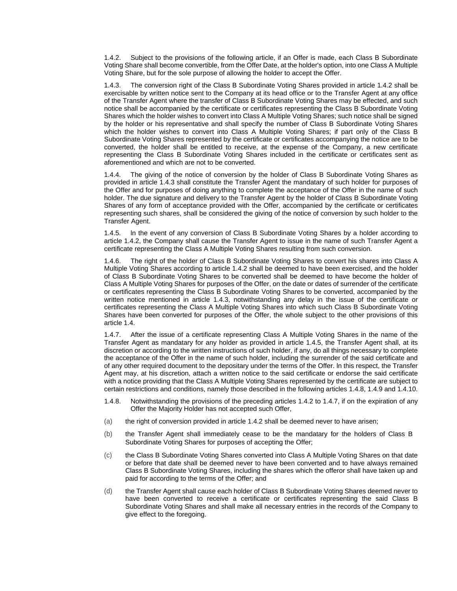1.4.2. Subject to the provisions of the following article, if an Offer is made, each Class B Subordinate Voting Share shall become convertible, from the Offer Date, at the holder's option, into one Class A Multiple Voting Share, but for the sole purpose of allowing the holder to accept the Offer.

1.4.3. The conversion right of the Class B Subordinate Voting Shares provided in article 1.4.2 shall be exercisable by written notice sent to the Company at its head office or to the Transfer Agent at any office of the Transfer Agent where the transfer of Class B Subordinate Voting Shares may be effected, and such notice shall be accompanied by the certificate or certificates representing the Class B Subordinate Voting Shares which the holder wishes to convert into Class A Multiple Voting Shares; such notice shall be signed by the holder or his representative and shall specify the number of Class B Subordinate Voting Shares which the holder wishes to convert into Class A Multiple Voting Shares; if part only of the Class B Subordinate Voting Shares represented by the certificate or certificates accompanying the notice are to be converted, the holder shall be entitled to receive, at the expense of the Company, a new certificate representing the Class B Subordinate Voting Shares included in the certificate or certificates sent as aforementioned and which are not to be converted.

1.4.4. The giving of the notice of conversion by the holder of Class B Subordinate Voting Shares as provided in article 1.4.3 shall constitute the Transfer Agent the mandatary of such holder for purposes of the Offer and for purposes of doing anything to complete the acceptance of the Offer in the name of such holder. The due signature and delivery to the Transfer Agent by the holder of Class B Subordinate Voting Shares of any form of acceptance provided with the Offer, accompanied by the certificate or certificates representing such shares, shall be considered the giving of the notice of conversion by such holder to the Transfer Agent.

1.4.5. ln the event of any conversion of Class B Subordinate Voting Shares by a holder according to article 1.4.2, the Company shall cause the Transfer Agent to issue in the name of such Transfer Agent a certificate representing the Class A Multiple Voting Shares resulting from such conversion.

1.4.6. The right of the holder of Class B Subordinate Voting Shares to convert his shares into Class A Multiple Voting Shares according to article 1.4.2 shall be deemed to have been exercised, and the holder of Class B Subordinate Voting Shares to be converted shall be deemed to have become the holder of Class A Multiple Voting Shares for purposes of the Offer, on the date or dates of surrender of the certificate or certificates representing the Class B Subordinate Voting Shares to be converted, accompanied by the written notice mentioned in article 1.4.3, notwithstanding any delay in the issue of the certificate or certificates representing the Class A Multiple Voting Shares into which such Class B Subordinate Voting Shares have been converted for purposes of the Offer, the whole subject to the other provisions of this article 1.4.

1.4.7. After the issue of a certificate representing Class A Multiple Voting Shares in the name of the Transfer Agent as mandatary for any holder as provided in article 1.4.5, the Transfer Agent shall, at its discretion or according to the written instructions of such holder, if any, do all things necessary to complete the acceptance of the Offer in the name of such holder, including the surrender of the said certificate and of any other required document to the depositary under the terms of the Offer. ln this respect, the Transfer Agent may, at his discretion, attach a written notice to the said certificate or endorse the said certificate with a notice providing that the Class A Multiple Voting Shares represented by the certificate are subject to certain restrictions and conditions, namely those described in the following articles 1.4.8, 1.4.9 and 1.4.10.

- 1.4.8. Notwithstanding the provisions of the preceding articles 1.4.2 to 1.4.7, if on the expiration of any Offer the Majority Holder has not accepted such Offer,
- (a) the right of conversion provided in article 1.4.2 shall be deemed never to have arisen;
- (b) the Transfer Agent shall immediately cease to be the mandatary for the holders of Class B Subordinate Voting Shares for purposes of accepting the Offer;
- (c) the Class B Subordinate Voting Shares converted into Class A Multiple Voting Shares on that date or before that date shall be deemed never to have been converted and to have always remained Class B Subordinate Voting Shares, including the shares which the offeror shall have taken up and paid for according to the terms of the Offer; and
- (d) the Transfer Agent shall cause each holder of Class B Subordinate Voting Shares deemed never to have been converted to receive a certificate or certificates representing the said Class B Subordinate Voting Shares and shall make all necessary entries in the records of the Company to give effect to the foregoing.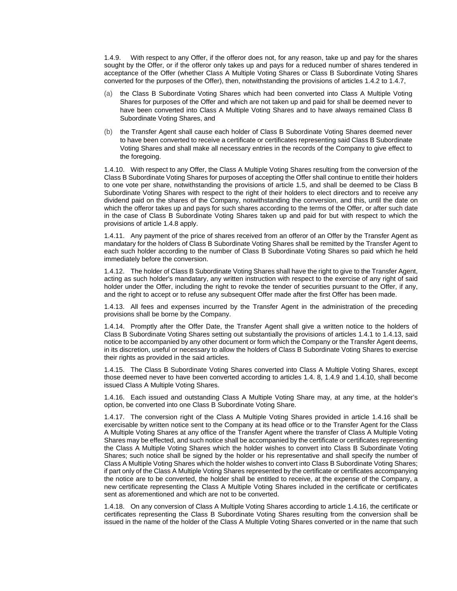1.4.9. With respect to any Offer, if the offeror does not, for any reason, take up and pay for the shares sought by the Offer, or if the offeror only takes up and pays for a reduced number of shares tendered in acceptance of the Offer (whether Class A Multiple Voting Shares or Class B Subordinate Voting Shares converted for the purposes of the Offer), then, notwithstanding the provisions of articles 1.4.2 to 1.4.7,

- (a) the Class B Subordinate Voting Shares which had been converted into Class A Multiple Voting Shares for purposes of the Offer and which are not taken up and paid for shall be deemed never to have been converted into Class A Multiple Voting Shares and to have always remained Class B Subordinate Voting Shares, and
- (b) the Transfer Agent shall cause each holder of Class B Subordinate Voting Shares deemed never to have been converted to receive a certificate or certificates representing said Class B Subordinate Voting Shares and shall make all necessary entries in the records of the Company to give effect to the foregoing.

1.4.10. With respect to any Offer, the Class A Multiple Voting Shares resulting from the conversion of the Class B Subordinate Voting Shares for purposes of accepting the Offer shall continue to entitle their holders to one vote per share, notwithstanding the provisions of article 1.5, and shall be deemed to be Class B Subordinate Voting Shares with respect to the right of their holders to elect directors and to receive any dividend paid on the shares of the Company, notwithstanding the conversion, and this, until the date on which the offeror takes up and pays for such shares according to the terms of the Offer, or after such date in the case of Class B Subordinate Voting Shares taken up and paid for but with respect to which the provisions of article 1.4.8 apply.

1.4.11. Any payment of the price of shares received from an offeror of an Offer by the Transfer Agent as mandatary for the holders of Class B Subordinate Voting Shares shall be remitted by the Transfer Agent to each such holder according to the number of Class B Subordinate Voting Shares so paid which he held immediately before the conversion.

1.4.12. The holder of Class B Subordinate Voting Shares shall have the right to give to the Transfer Agent, acting as such holder's mandatary, any written instruction with respect to the exercise of any right of said holder under the Offer, including the right to revoke the tender of securities pursuant to the Offer, if any, and the right to accept or to refuse any subsequent Offer made after the first Offer has been made.

1.4.13. All fees and expenses incurred by the Transfer Agent in the administration of the preceding provisions shall be borne by the Company.

1.4.14. Promptly after the Offer Date, the Transfer Agent shall give a written notice to the holders of Class B Subordinate Voting Shares setting out substantially the provisions of articles 1.4.1 to 1.4.13, said notice to be accompanied by any other document or form which the Company or the Transfer Agent deems, in its discretion, useful or necessary to allow the holders of Class B Subordinate Voting Shares to exercise their rights as provided in the said articles.

1.4.15. The Class B Subordinate Voting Shares converted into Class A Multiple Voting Shares, except those deemed never to have been converted according to articles 1.4. 8, 1.4.9 and 1.4.10, shall become issued Class A Multiple Voting Shares.

1.4.16. Each issued and outstanding Class A Multiple Voting Share may, at any time, at the holder's option, be converted into one Class B Subordinate Voting Share.

1.4.17. The conversion right of the Class A Multiple Voting Shares provided in article 1.4.16 shall be exercisable by written notice sent to the Company at its head office or to the Transfer Agent for the Class A Multiple Voting Shares at any office of the Transfer Agent where the transfer of Class A Multiple Voting Shares may be effected, and such notice shall be accompanied by the certificate or certificates representing the Class A Multiple Voting Shares which the holder wishes to convert into Class B Subordinate Voting Shares; such notice shall be signed by the holder or his representative and shall specify the number of Class A Multiple Voting Shares which the holder wishes to convert into Class B Subordinate Voting Shares; if part only of the Class A Multiple Voting Shares represented by the certificate or certificates accompanying the notice are to be converted, the holder shall be entitled to receive, at the expense of the Company, a new certificate representing the Class A Multiple Voting Shares included in the certificate or certificates sent as aforementioned and which are not to be converted.

1.4.18. On any conversion of Class A Multiple Voting Shares according to article 1.4.16, the certificate or certificates representing the Class B Subordinate Voting Shares resulting from the conversion shall be issued in the name of the holder of the Class A Multiple Voting Shares converted or in the name that such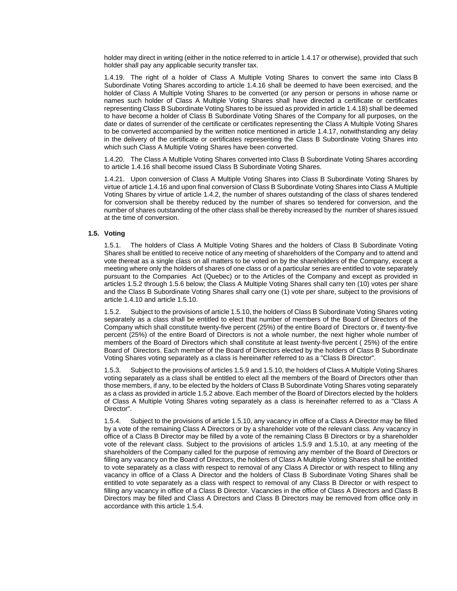holder may direct in writing (either in the notice referred to in article 1.4.17 or otherwise), provided that such holder shall pay any applicable security transfer tax.

1.4.19. The right of a holder of Class A Multiple Voting Shares to convert the same into Class B Subordinate Voting Shares according to article 1.4.16 shall be deemed to have been exercised, and the holder of Class A Multiple Voting Shares to be converted (or any person or persons in whose name or names such holder of Class A Multiple Voting Shares shall have directed a certificate or certificates representing Class B Subordinate Voting Shares to be issued as provided in article 1.4.18) shall be deemed to have become a holder of Class B Subordinate Voting Shares of the Company for all purposes, on the date or dates of surrender of the certificate or certificates representing the Class A Multiple Voting Shares to be converted accompanied by the written notice mentioned in article 1.4.17, notwithstanding any delay in the delivery of the certificate or certificates representing the Class B Subordinate Voting Shares into which such Class A Multiple Voting Shares have been converted.

1.4.20. The Class A Multiple Voting Shares converted into Class B Subordinate Voting Shares according to article 1.4.16 shall become issued Class B Subordinate Voting Shares.

1.4.21. Upon conversion of Class A Multiple Voting Shares into Class B Subordinate Voting Shares by virtue of article 1.4.16 and upon final conversion of Class B Subordinate Voting Shares into Class A Multiple Voting Shares by virtue of article 1.4.2, the number of shares outstanding of the class of shares tendered for conversion shall be thereby reduced by the number of shares so tendered for conversion, and the number of shares outstanding of the other class shall be thereby increased by the number of shares issued at the time of conversion.

## **1.5. Voting**

1.5.1. The holders of Class A Multiple Voting Shares and the holders of Class B Subordinate Voting Shares shall be entitled to receive notice of any meeting of shareholders of the Company and to attend and vote thereat as a single class on all matters to be voted on by the shareholders of the Company, except a meeting where only the holders of shares of one class or of a particular series are entitled to vote separately pursuant to the Companies Act (Quebec) or to the Articles of the Company and except as provided in articles 1.5.2 through 1.5.6 below; the Class A Multiple Voting Shares shall carry ten (10) votes per share and the Class B Subordinate Voting Shares shall carry one (1) vote per share, subject to the provisions of article 1.4.10 and article 1.5.10.

1.5.2. Subject to the provisions of article 1.5.10, the holders of Class B Subordinate Voting Shares voting separately as a class shall be entitled to elect that number of members of the Board of Directors of the Company which shall constitute twenty-five percent (25%) of the entire Board of Directors or, if twenty-five percent (25%) of the entire Board of Directors is not a whole number, the next higher whole number of members of the Board of Directors which shall constitute at least twenty-five percent ( 25%) of the entire Board of Directors. Each member of the Board of Directors elected by the holders of Class B Subordinate Voting Shares voting separately as a class is hereinafter referred to as a "Class B Director".

1.5.3. Subject to the provisions of articles 1.5.9 and 1.5.10, the holders of Class A Multiple Voting Shares voting separately as a class shall be entitled to elect all the members of the Board of Directors other than those members, if any, to be elected by the holders of Class B Subordinate Voting Shares voting separately as a class as provided in article 1.5.2 above. Each member of the Board of Directors elected by the holders of Class A Multiple Voting Shares voting separately as a class is hereinafter referred to as a "Class A Director".

1.5.4. Subject to the provisions of article 1.5.10, any vacancy in office of a Class A Director may be filled by a vote of the remaining Class A Directors or by a shareholder vote of the relevant class. Any vacancy in office of a Class B Director may be filled by a vote of the remaining Class B Directors or by a shareholder vote of the relevant class. Subject to the provisions of articles 1.5.9 and 1.5.10, at any meeting of the shareholders of the Company called for the purpose of removing any member of the Board of Directors or filling any vacancy on the Board of Directors, the holders of Class A Multiple Voting Shares shall be entitled to vote separately as a class with respect to removal of any Class A Director or with respect to filling any vacancy in office of a Class A Director and the holders of Class B Subordinate Voting Shares shall be entitled to vote separately as a class with respect to removal of any Class B Director or with respect to filling any vacancy in office of a Class B Director. Vacancies in the office of Class A Directors and Class B Directors may be filled and Class A Directors and Class B Directors may be removed from office only in accordance with this article 1.5.4.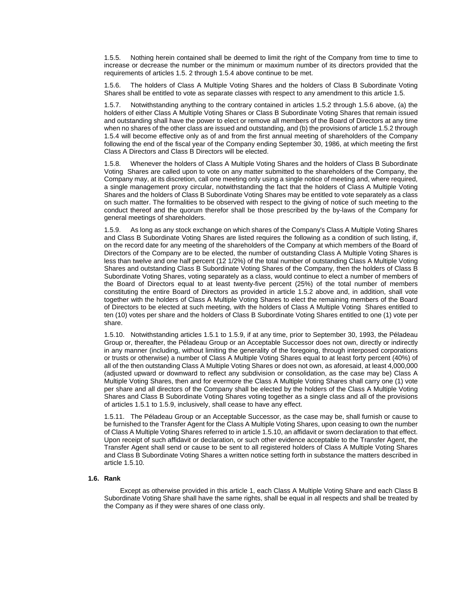1.5.5. Nothing herein contained shall be deemed to limit the right of the Company from time to time to increase or decrease the number or the minimum or maximum number of its directors provided that the requirements of articles 1.5. 2 through 1.5.4 above continue to be met.

1.5.6. The holders of Class A Multiple Voting Shares and the holders of Class B Subordinate Voting Shares shall be entitled to vote as separate classes with respect to any amendment to this article 1.5.

1.5.7. Notwithstanding anything to the contrary contained in articles 1.5.2 through 1.5.6 above, (a) the holders of either Class A Multiple Voting Shares or Class B Subordinate Voting Shares that remain issued and outstanding shall have the power to elect or remove all members of the Board of Directors at any time when no shares of the other class are issued and outstanding, and (b) the provisions of article 1.5.2 through 1.5.4 will become effective only as of and from the first annual meeting of shareholders of the Company following the end of the fiscal year of the Company ending September 30, 1986, at which meeting the first Class A Directors and Class B Directors will be elected.

1.5.8. Whenever the holders of Class A Multiple Voting Shares and the holders of Class B Subordinate Voting Shares are called upon to vote on any matter submitted to the shareholders of the Company, the Company may, at its discretion, call one meeting only using a single notice of meeting and, where required, a single management proxy circular, notwithstanding the fact that the holders of Class A Multiple Voting Shares and the holders of Class B Subordinate Voting Shares may be entitled to vote separately as a class on such matter. The formalities to be observed with respect to the giving of notice of such meeting to the conduct thereof and the quorum therefor shall be those prescribed by the by-laws of the Company for general meetings of shareholders.

1.5.9. As long as any stock exchange on which shares of the Company's Class A Multiple Voting Shares and Class B Subordinate Voting Shares are listed requires the following as a condition of such listing, if, on the record date for any meeting of the shareholders of the Company at which members of the Board of Directors of the Company are to be elected, the number of outstanding Class A Multiple Voting Shares is less than twelve and one half percent (12 1/2%) of the total number of outstanding Class A Multiple Voting Shares and outstanding Class B Subordinate Voting Shares of the Company, then the holders of Class B Subordinate Voting Shares, voting separately as a class, would continue to elect a number of members of the Board of Directors equal to at least twenty-five percent (25%) of the total number of members constituting the entire Board of Directors as provided in article 1.5.2 above and, in addition, shall vote together with the holders of Class A Multiple Voting Shares to elect the remaining members of the Board of Directors to be elected at such meeting, with the holders of Class A Multiple Voting Shares entitled to ten (10) votes per share and the holders of Class B Subordinate Voting Shares entitled to one (1) vote per share.

1.5.10. Notwithstanding articles 1.5.1 to 1.5.9, if at any time, prior to September 30, 1993, the Péladeau Group or, thereafter, the Péladeau Group or an Acceptable Successor does not own, directly or indirectly in any manner (including, without limiting the generality of the foregoing, through interposed corporations or trusts or otherwise) a number of Class A Multiple Voting Shares equal to at least forty percent (40%) of all of the then outstanding Class A Multiple Voting Shares or does not own, as aforesaid, at least 4,000,000 (adjusted upward or downward to reflect any subdivision or consolidation, as the case may be) Class A Multiple Voting Shares, then and for evermore the Class A Multiple Voting Shares shall carry one (1) vote per share and all directors of the Company shall be elected by the holders of the Class A Multiple Voting Shares and Class B Subordinate Voting Shares voting together as a single class and all of the provisions of articles 1.5.1 to 1.5.9, inclusively, shall cease to have any effect.

1.5.11. The Péladeau Group or an Acceptable Successor, as the case may be, shall furnish or cause to be furnished to the Transfer Agent for the Class A Multiple Voting Shares, upon ceasing to own the number of Class A Multiple Voting Shares referred to in article 1.5.10, an affidavit or sworn declaration to that effect. Upon receipt of such affidavit or declaration, or such other evidence acceptable to the Transfer Agent, the Transfer Agent shall send or cause to be sent to all registered holders of Class A Multiple Voting Shares and Class B Subordinate Voting Shares a written notice setting forth in substance the matters described in article 1.5.10.

### **1.6. Rank**

Except as otherwise provided in this article 1, each Class A Multiple Voting Share and each Class B Subordinate Voting Share shall have the same rights, shall be equal in all respects and shall be treated by the Company as if they were shares of one class only.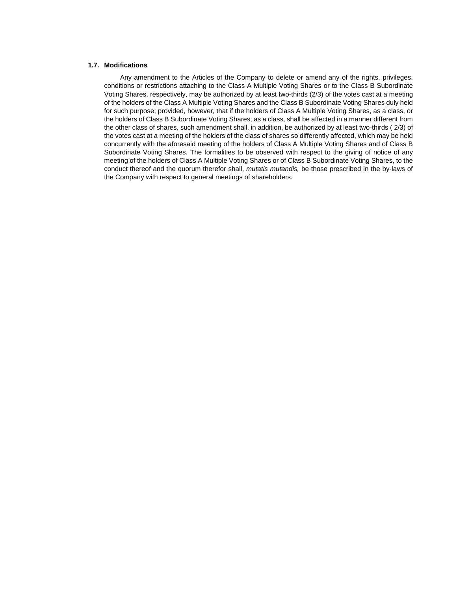## **1.7. Modifications**

Any amendment to the Articles of the Company to delete or amend any of the rights, privileges, conditions or restrictions attaching to the Class A Multiple Voting Shares or to the Class B Subordinate Voting Shares, respectively, may be authorized by at least two-thirds (2/3) of the votes cast at a meeting of the holders of the Class A Multiple Voting Shares and the Class B Subordinate Voting Shares duly held for such purpose; provided, however, that if the holders of Class A Multiple Voting Shares, as a class, or the holders of Class B Subordinate Voting Shares, as a class, shall be affected in a manner different from the other class of shares, such amendment shall, in addition, be authorized by at least two-thirds ( 2/3) of the votes cast at a meeting of the holders of the class of shares so differently affected, which may be held concurrently with the aforesaid meeting of the holders of Class A Multiple Voting Shares and of Class B Subordinate Voting Shares. The formalities to be observed with respect to the giving of notice of any meeting of the holders of Class A Multiple Voting Shares or of Class B Subordinate Voting Shares, to the conduct thereof and the quorum therefor shall, *mutatis mutandis,* be those prescribed in the by-laws of the Company with respect to general meetings of shareholders.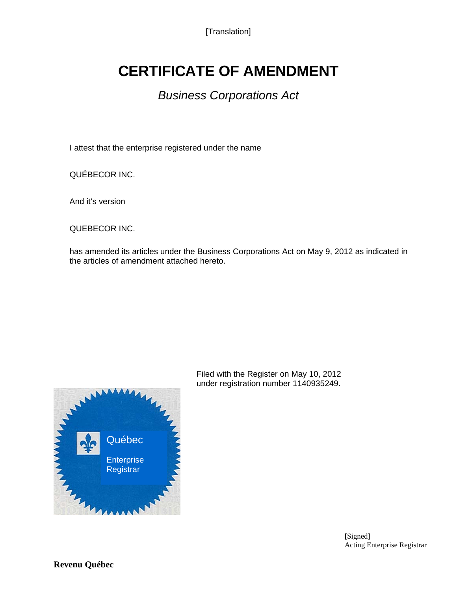[Translation]

## **CERTIFICATE OF AMENDMENT**

## *Business Corporations Act*

I attest that the enterprise registered under the name

QUÉBECOR INC.

And it's version

QUEBECOR INC.

has amended its articles under the Business Corporations Act on May 9, 2012 as indicated in the articles of amendment attached hereto.



Filed with the Register on May 10, 2012 under registration number 1140935249.

> **[**Signed**]** Acting Enterprise Registrar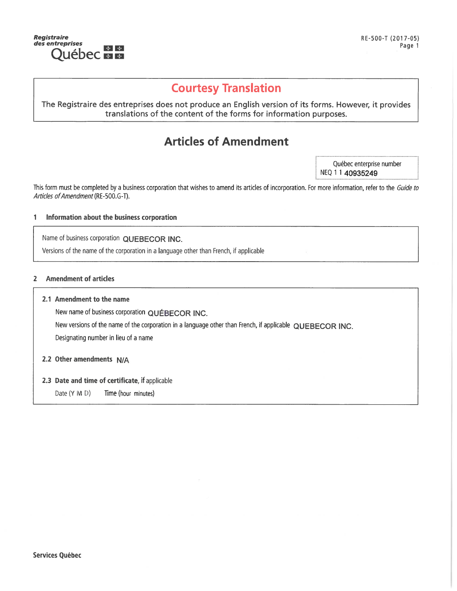

## **Courtesy Translation**

## The Registraire des entreprises does not produce an English version of its forms. However, it provides translations of the content of the forms for information purposes.

## **Articles of Amendment**

Québec enterprise number NEQ 1 1 40935249

This form must be completed by a business corporation that wishes to amend its articles of incorporation. For more information, refer to the Guide to Articles of Amendment (RE-500.G-T).

#### Information about the business corporation 1

Name of business corporation QUEBECOR INC.

Versions of the name of the corporation in a language other than French, if applicable

#### **Amendment of articles**  $\overline{2}$

## 2.1 Amendment to the name

New name of business corporation QUÉBECOR INC.

New versions of the name of the corporation in a language other than French, if applicable QUEBECOR INC.

Designating number in lieu of a name

2.2 Other amendments N/A

## 2.3 Date and time of certificate, if applicable

Date (Y M D) Time (hour minutes)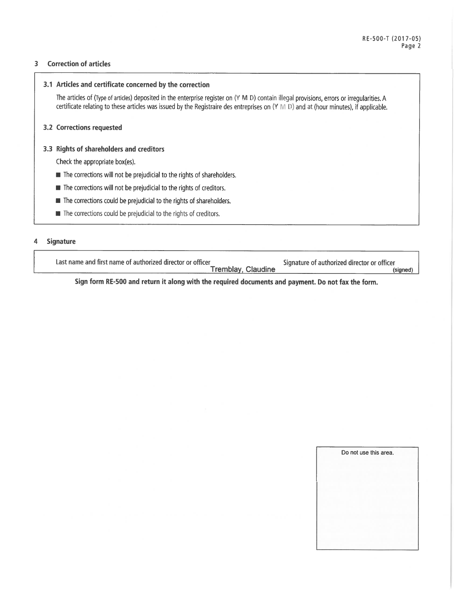#### **Correction of articles**  $\overline{\mathbf{3}}$

## 3.1 Articles and certificate concerned by the correction

The articles of (Type of articles) deposited in the enterprise register on (Y M D) contain illegal provisions, errors or irregularities. A certificate relating to these articles was issued by the Registraire des entreprises on (Y M D) and at (hour minutes), if applicable.

## 3.2 Corrections requested

## 3.3 Rights of shareholders and creditors

Check the appropriate box(es).

- The corrections will not be prejudicial to the rights of shareholders.
- The corrections will not be prejudicial to the rights of creditors.
- The corrections could be prejudicial to the rights of shareholders.
- **III** The corrections could be prejudicial to the rights of creditors.

#### **Signature**  $\boldsymbol{\Delta}$

Last name and first name of authorized director or officer Tremblay, Claudine

Signature of authorized director or officer (signed)

Sign form RE-500 and return it along with the required documents and payment. Do not fax the form.

| Do not use this area. |  |
|-----------------------|--|
|                       |  |
|                       |  |
|                       |  |
|                       |  |
|                       |  |
|                       |  |
|                       |  |
|                       |  |
|                       |  |
|                       |  |
|                       |  |
|                       |  |
|                       |  |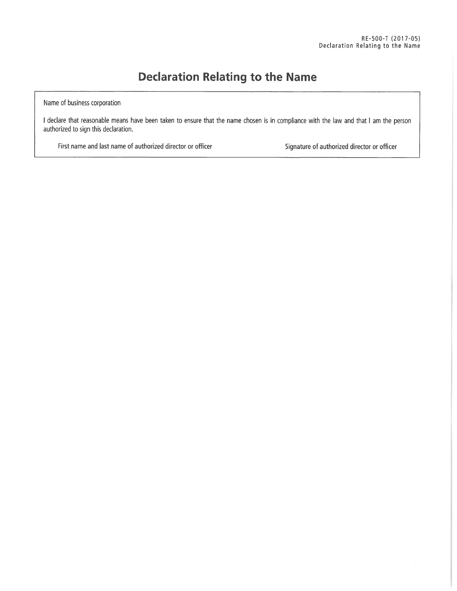## **Declaration Relating to the Name**

Name of business corporation

I declare that reasonable means have been taken to ensure that the name chosen is in compliance with the law and that I am the person authorized to sign this declaration.

First name and last name of authorized director or officer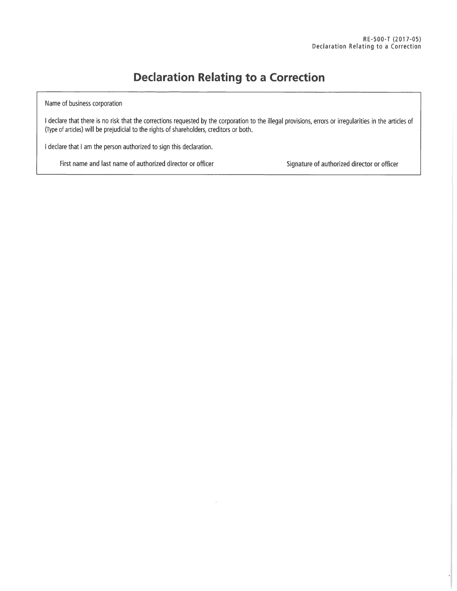## **Declaration Relating to a Correction**

Name of business corporation

I declare that there is no risk that the corrections requested by the corporation to the illegal provisions, errors or irregularities in the articles of (Type of articles) will be prejudicial to the rights of shareholders, creditors or both.

I declare that I am the person authorized to sign this declaration.

First name and last name of authorized director or officer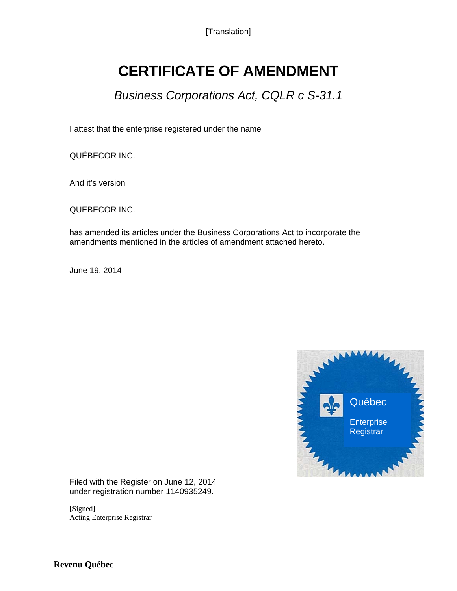[Translation]

## **CERTIFICATE OF AMENDMENT**

*Business Corporations Act, CQLR c S-31.1*

I attest that the enterprise registered under the name

QUÉBECOR INC.

And it's version

QUEBECOR INC.

has amended its articles under the Business Corporations Act to incorporate the amendments mentioned in the articles of amendment attached hereto.

June 19, 2014



Filed with the Register on June 12, 2014 under registration number 1140935249.

**[**Signed**]** Acting Enterprise Registrar

**Revenu Québec**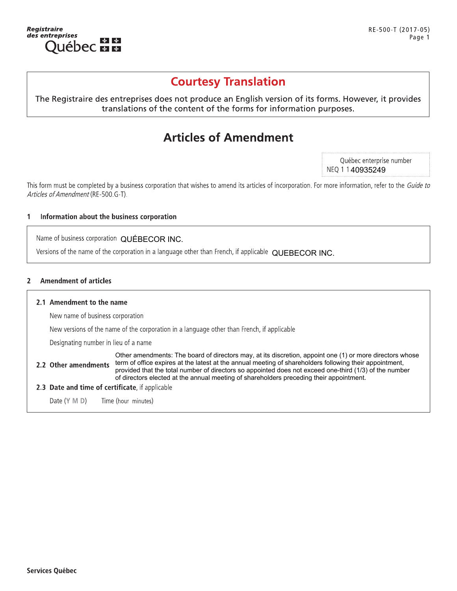

## Courtesy franslation

gistraire<br>
s entreprises<br> **COUTESY Translation**<br>
The Registraire des entreprises does not produce an English version of its forms. However, it provides<br>
translations of the content of the forms for information purposes.<br>

## **Articles of Amendment**

Québec enterprise number NEQ 1 1 **40935249** 

<table>\n<tbody>\n<tr>\n<th>Articles of A mendment</th>\n</tr>\n<tr>\n<td>This form must be completed by a business corporation that wishes to amend its articles of incorporation. For more information, refer to the Guide to Articles of American. The provided HTML representation about the business corporation</td>\n</tr>\n<tr>\n<td>1 Information about the business corporation</td>\n</tr>\n<tr>\n<td>Name of business corporation QUÉBECOR INC.</td>\n</tr>\n<tr>\n<td>Version of the name of the corporation in a language other than French, if applicable QUEBECOR INC.</td>\n</tr>\n</tbody>\n</table> **Articles of Amendment**<br>This form must be completed by a business corporation that wishes to amend its articles of<br>*Articles of Amendment* (RE-500.G-T).<br>**1 Information about the business corporation**<br>Name of business cor

Name of business corporation QUÉBECOR INC.

Versions of the name of the corporation in a language other than French, if applicable QUEBECOR INC.

## 2 Amendment of articles

2.2 Other amendments

## 2.1 Amendment to the name

New name of business corporation

New versions of the name of the corporation in a language other than French, if applicable

Designating number in lieu of a name

Other amendments: The board of directors may, at its discretion, appoint one (1) or more directors whose term of office expires at the latest at the annual meeting of shareholders following their appointment, provided that the total number of directors so appointed does not exceed one-third (1/3) of the number of directors elected at the annual meeting of shareholders preceding their appointment.

**2.3 Date and time of certificate**, if applicable

Date (Y M D) Time (hour minutes)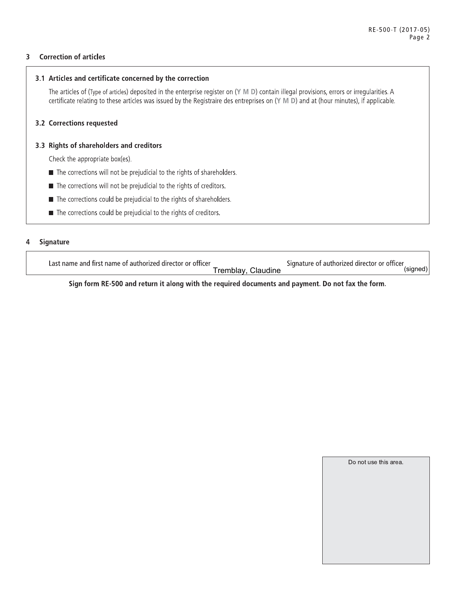#### **Correction of articles** 3

## 3.1 Articles and certificate concerned by the correction

The articles of (Type of articles) deposited in the enterprise register on (Y M D) contain illegal provisions, errors or irregularities. A certificate relating to these articles was issued by the Registraire des entreprises on (Y M D) and at (hour minutes), if applicable.

## 3.2 Corrections requested

## 3.3 Rights of shareholders and creditors

Check the appropriate box(es).

- The corrections will not be prejudicial to the rights of shareholders.
- The corrections will not be prejudicial to the rights of creditors.
- The corrections could be prejudicial to the rights of shareholders.
- The corrections could be prejudicial to the rights of creditors.

#### **Signature** 4

Last name and first name of authorized director or officer

Tremblay, Claudine

Signature of authorized director or officer (signed)

Sign form RE-500 and return it along with the required documents and payment. Do not fax the form.

| Do not use this area. |  |
|-----------------------|--|
|                       |  |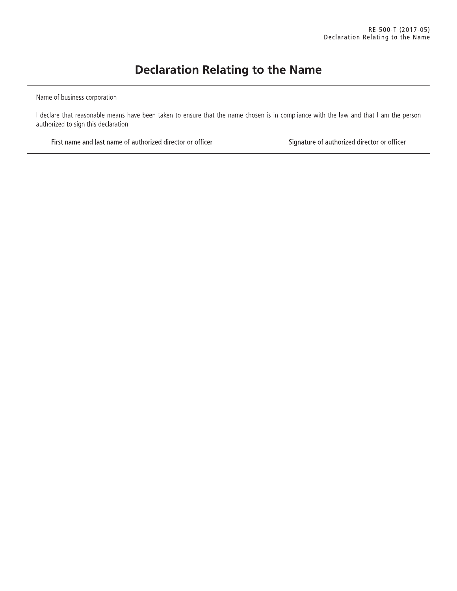## **Declaration Relating to the Name**

Name of business corporation

I declare that reasonable means have been taken to ensure that the name chosen is in compliance with the law and that I am the person authorized to sign this declaration.

First name and last name of authorized director or officer